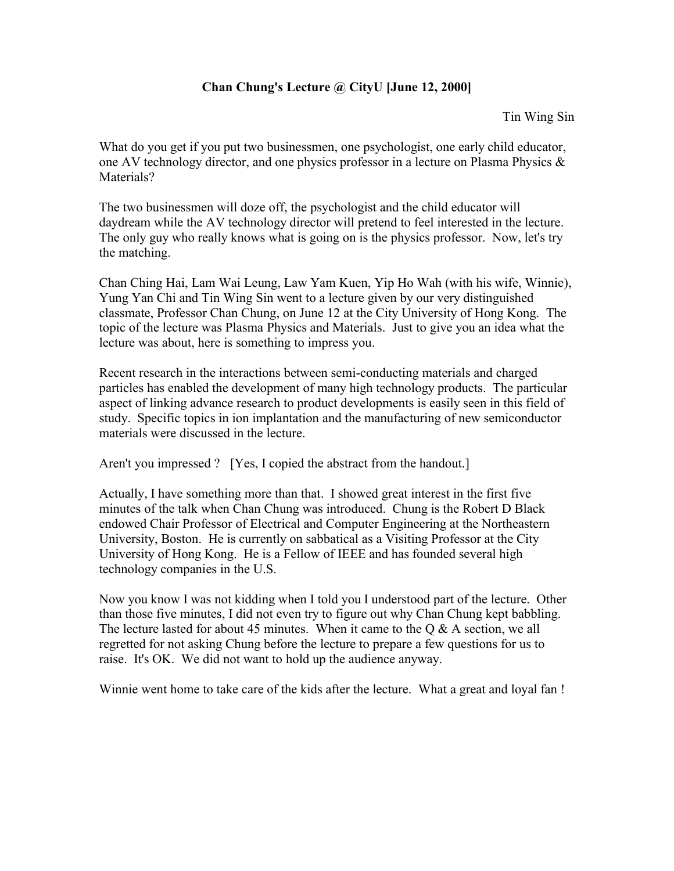## **Chan Chung's Lecture @ CityU [June 12, 2000]**

Tin Wing Sin

What do you get if you put two businessmen, one psychologist, one early child educator, one AV technology director, and one physics professor in a lecture on Plasma Physics & Materials?

The two businessmen will doze off, the psychologist and the child educator will daydream while the AV technology director will pretend to feel interested in the lecture. The only guy who really knows what is going on is the physics professor. Now, let's try the matching.

Chan Ching Hai, Lam Wai Leung, Law Yam Kuen, Yip Ho Wah (with his wife, Winnie), Yung Yan Chi and Tin Wing Sin went to a lecture given by our very distinguished classmate, Professor Chan Chung, on June 12 at the City University of Hong Kong. The topic of the lecture was Plasma Physics and Materials. Just to give you an idea what the lecture was about, here is something to impress you.

Recent research in the interactions between semi-conducting materials and charged particles has enabled the development of many high technology products. The particular aspect of linking advance research to product developments is easily seen in this field of study. Specific topics in ion implantation and the manufacturing of new semiconductor materials were discussed in the lecture.

Aren't you impressed ? [Yes, I copied the abstract from the handout.]

Actually, I have something more than that. I showed great interest in the first five minutes of the talk when Chan Chung was introduced. Chung is the Robert D Black endowed Chair Professor of Electrical and Computer Engineering at the Northeastern University, Boston. He is currently on sabbatical as a Visiting Professor at the City University of Hong Kong. He is a Fellow of IEEE and has founded several high technology companies in the U.S.

Now you know I was not kidding when I told you I understood part of the lecture. Other than those five minutes, I did not even try to figure out why Chan Chung kept babbling. The lecture lasted for about 45 minutes. When it came to the  $Q & A$  section, we all regretted for not asking Chung before the lecture to prepare a few questions for us to raise. It's OK. We did not want to hold up the audience anyway.

Winnie went home to take care of the kids after the lecture. What a great and loyal fan !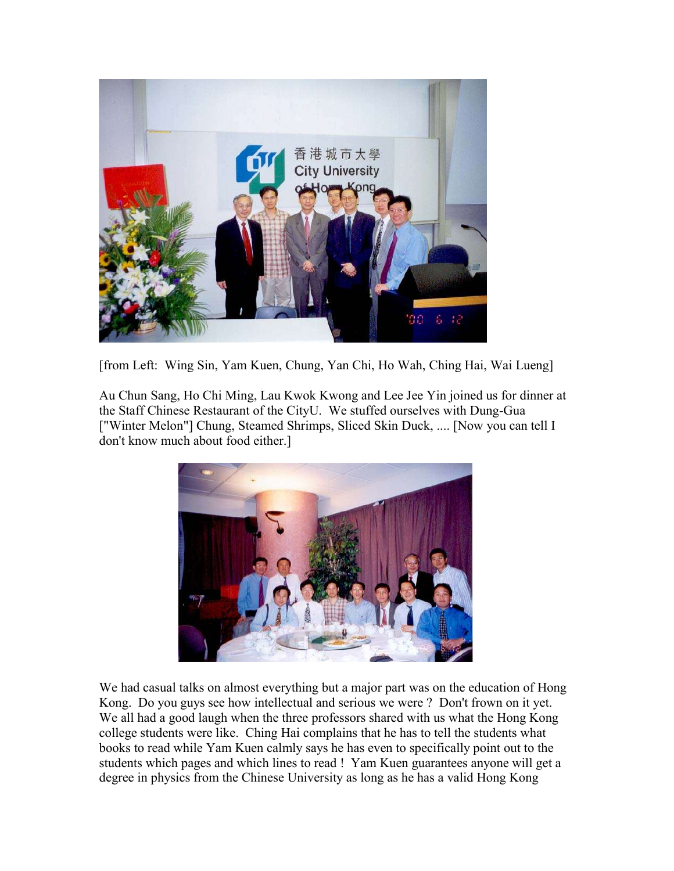

[from Left: Wing Sin, Yam Kuen, Chung, Yan Chi, Ho Wah, Ching Hai, Wai Lueng]

Au Chun Sang, Ho Chi Ming, Lau Kwok Kwong and Lee Jee Yin joined us for dinner at the Staff Chinese Restaurant of the CityU. We stuffed ourselves with Dung-Gua ["Winter Melon"] Chung, Steamed Shrimps, Sliced Skin Duck, .... [Now you can tell I don't know much about food either.]



We had casual talks on almost everything but a major part was on the education of Hong Kong. Do you guys see how intellectual and serious we were ? Don't frown on it yet. We all had a good laugh when the three professors shared with us what the Hong Kong college students were like. Ching Hai complains that he has to tell the students what books to read while Yam Kuen calmly says he has even to specifically point out to the students which pages and which lines to read ! Yam Kuen guarantees anyone will get a degree in physics from the Chinese University as long as he has a valid Hong Kong